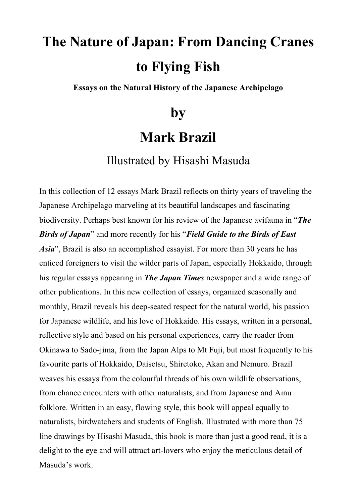# **The Nature of Japan: From Dancing Cranes to Flying Fish**

**Essays on the Natural History of the Japanese Archipelago**

## **by**

### **Mark Brazil**

#### Illustrated by Hisashi Masuda

In this collection of 12 essays Mark Brazil reflects on thirty years of traveling the Japanese Archipelago marveling at its beautiful landscapes and fascinating biodiversity. Perhaps best known for his review of the Japanese avifauna in "*The Birds of Japan*" and more recently for his "*Field Guide to the Birds of East Asia*", Brazil is also an accomplished essayist. For more than 30 years he has enticed foreigners to visit the wilder parts of Japan, especially Hokkaido, through his regular essays appearing in *The Japan Times* newspaper and a wide range of other publications. In this new collection of essays, organized seasonally and monthly, Brazil reveals his deep-seated respect for the natural world, his passion for Japanese wildlife, and his love of Hokkaido. His essays, written in a personal, reflective style and based on his personal experiences, carry the reader from Okinawa to Sado-jima, from the Japan Alps to Mt Fuji, but most frequently to his favourite parts of Hokkaido, Daisetsu, Shiretoko, Akan and Nemuro. Brazil weaves his essays from the colourful threads of his own wildlife observations, from chance encounters with other naturalists, and from Japanese and Ainu folklore. Written in an easy, flowing style, this book will appeal equally to naturalists, birdwatchers and students of English. Illustrated with more than 75 line drawings by Hisashi Masuda, this book is more than just a good read, it is a delight to the eye and will attract art-lovers who enjoy the meticulous detail of Masuda's work.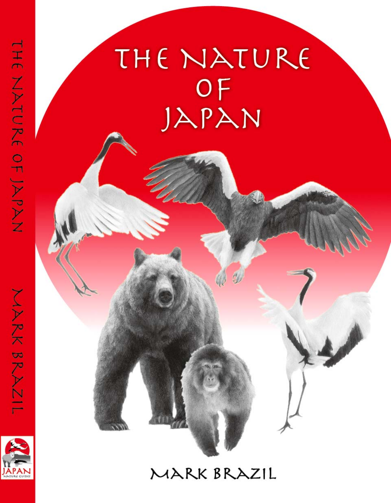# THE NATURE OF JAPAN

### MARK BRAZIL